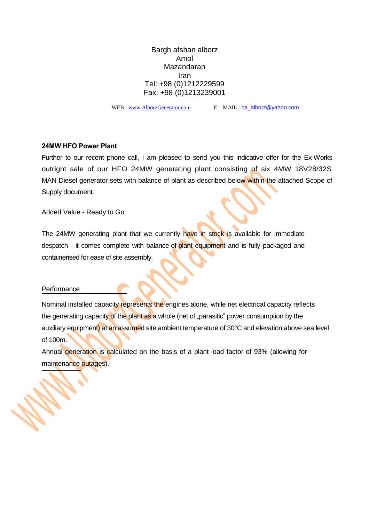Bargh afshan alborz Amol Mazandaran Iran Tel: +98 (0)1212229599 Fax: +98 (0)1213239001

WEB : [www.AlborzGenerator.com](http://www.alborzgenerator.com/) E – MAIL : ba\_alborz@yahoo.com

#### **24MW HFO Power Plant**

Further to our recent phone call, I am pleased to send you this indicative offer for the Ex-Works outright sale of our HFO 24MW generating plant consisting of six 4MW 18V28/32S MAN Diesel generator sets with balance of plant as described below within the attached Scope of Supply document.

Added Value - Ready to Go

The 24MW generating plant that we currently have in stock is available for immediate despatch - it comes complete with balance-of-plant equipment and is fully packaged and containerised for ease of site assembly.

#### **Performance**

Nominal installed capacity represents the engines alone, while net electrical capacity reflects the generating capacity of the plant as a whole (net of "parasitic" power consumption by the auxiliary equipment) at an assumed site ambient temperature of 30°C and elevation above sea level of 100m.

Annual generation is calculated on the basis of a plant load factor of 93% (allowing for maintenance outages).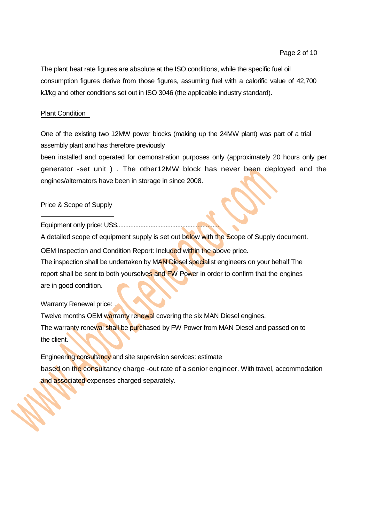The plant heat rate figures are absolute at the ISO conditions, while the specific fuel oil consumption figures derive from those figures, assuming fuel with a calorific value of 42,700 kJ/kg and other conditions set out in ISO 3046 (the applicable industry standard).

### Plant Condition

One of the existing two 12MW power blocks (making up the 24MW plant) was part of a trial assembly plant and has therefore previously

been installed and operated for demonstration purposes only (approximately 20 hours only per generator -set unit ) . The other12MW block has never been deployed and the engines/alternators have been in storage in since 2008.

### Price & Scope of Supply

Equipment only price: US\$.............................................................

A detailed scope of equipment supply is set out below with the Scope of Supply document.

OEM Inspection and Condition Report: Included within the above price.

The inspection shall be undertaken by MAN Diesel specialist engineers on your behalf The report shall be sent to both yourselves and FW Power in order to confirm that the engines are in good condition.

### Warranty Renewal price:

Twelve months OEM warranty renewal covering the six MAN Diesel engines. The warranty renewal shall be purchased by FW Power from MAN Diesel and passed on to the client.

Engineering consultancy and site supervision services: estimate based on the consultancy charge -out rate of a senior engineer. With travel, accommodation and associated expenses charged separately.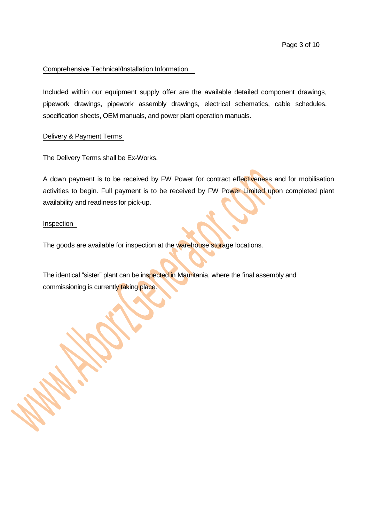### Comprehensive Technical/Installation Information

Included within our equipment supply offer are the available detailed component drawings, pipework drawings, pipework assembly drawings, electrical schematics, cable schedules, specification sheets, OEM manuals, and power plant operation manuals.

### Delivery & Payment Terms

The Delivery Terms shall be Ex-Works.

A down payment is to be received by FW Power for contract effectiveness and for mobilisation activities to begin. Full payment is to be received by FW Power Limited upon completed plant availability and readiness for pick-up.

### Inspection

The goods are available for inspection at the warehouse storage locations.

The identical "sister" plant can be inspected in Mauritania, where the final assembly and commissioning is currently taking place.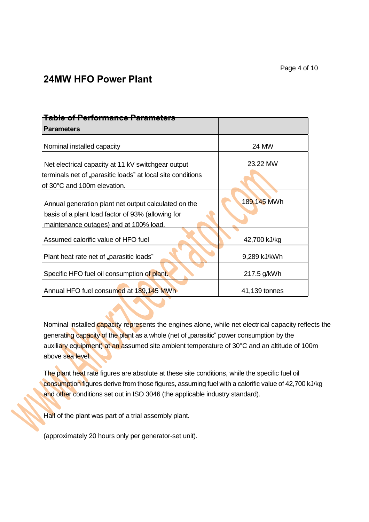# **24MW HFO Power Plant**

| <del>Table of Performance Parameters</del>                                                                                                          |               |  |  |
|-----------------------------------------------------------------------------------------------------------------------------------------------------|---------------|--|--|
| <b>Parameters</b>                                                                                                                                   |               |  |  |
| Nominal installed capacity                                                                                                                          | 24 MW         |  |  |
| Net electrical capacity at 11 kV switchgear output<br>terminals net of "parasitic loads" at local site conditions<br>of 30°C and 100m elevation.    | 23.22 MW      |  |  |
| Annual generation plant net output calculated on the<br>basis of a plant load factor of 93% (allowing for<br>maintenance outages) and at 100% load. | 189,145 MWh   |  |  |
| Assumed calorific value of HFO fuel                                                                                                                 | 42,700 kJ/kg  |  |  |
| Plant heat rate net of "parasitic loads"                                                                                                            | 9,289 kJ/kWh  |  |  |
| Specific HFO fuel oil consumption of plant.                                                                                                         | 217.5 g/kWh   |  |  |
| Annual HFO fuel consumed at 189,145 MWh                                                                                                             | 41,139 tonnes |  |  |

Nominal installed *capacity* represents the engines alone, while net electrical capacity reflects the generating capacity of the plant as a whole (net of "parasitic" power consumption by the auxiliary equipment) at an assumed site ambient temperature of 30°C and an altitude of 100m above sea level.

The plant heat rate figures are absolute at these site conditions, while the specific fuel oil consumption figures derive from those figures, assuming fuel with a calorific value of 42,700 kJ/kg and other conditions set out in ISO 3046 (the applicable industry standard).

Half of the plant was part of a trial assembly plant.

(approximately 20 hours only per generator-set unit).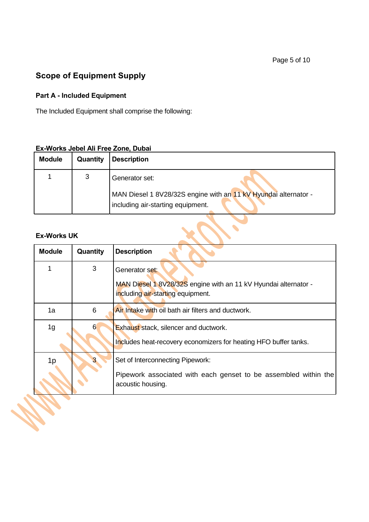# **Scope of Equipment Supply**

# **Part A - Included Equipment**

The Included Equipment shall comprise the following:

### **Ex-Works Jebel Ali Free Zone, Dubai**

| <b>Module</b> | Quantity | <b>Description</b>                                                                                   |
|---------------|----------|------------------------------------------------------------------------------------------------------|
|               |          | Generator set:                                                                                       |
|               |          | MAN Diesel 1 8V28/32S engine with an 11 kV Hyundai alternator -<br>including air-starting equipment. |

### **Ex-Works UK**

**Second** 

| <b>Module</b>  | Quantity | <b>Description</b>                                                                                                       |
|----------------|----------|--------------------------------------------------------------------------------------------------------------------------|
|                | 3        | Generator set:                                                                                                           |
|                |          | MAN Diesel 1 8V28/32S engine with an 11 kV Hyundai alternator -<br>including air-starting equipment.                     |
| 1a             | 6        | Air Intake with oil bath air filters and ductwork.                                                                       |
| 1 <sub>g</sub> |          | <b>Exhaust stack, silencer and ductwork.</b><br>Includes heat-recovery economizers for heating HFO buffer tanks.         |
| 1p             |          | Set of Interconnecting Pipework:<br>Pipework associated with each genset to be assembled within the<br>acoustic housing. |
|                |          |                                                                                                                          |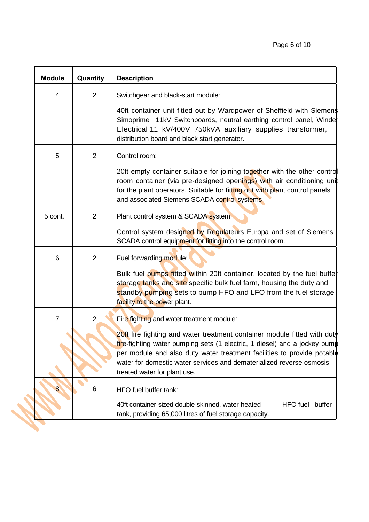| <b>Module</b>  | Quantity       | <b>Description</b>                                                                                                                                                                                                                                                                                      |
|----------------|----------------|---------------------------------------------------------------------------------------------------------------------------------------------------------------------------------------------------------------------------------------------------------------------------------------------------------|
| 4              | $\overline{2}$ | Switchgear and black-start module:                                                                                                                                                                                                                                                                      |
|                |                | 40ft container unit fitted out by Wardpower of Sheffield with Siemens<br>Simoprime 11kV Switchboards, neutral earthing control panel, Winder<br>Electrical 11 kV/400V 750kVA auxiliary supplies transformer,<br>distribution board and black start generator.                                           |
| 5              | $\overline{2}$ | Control room:                                                                                                                                                                                                                                                                                           |
|                |                | 20ft empty container suitable for joining together with the other control<br>room container (via pre-designed openings) with air conditioning unit<br>for the plant operators. Suitable for fitting out with plant control panels<br>and associated Siemens SCADA control systems                       |
| 5 cont.        | $\overline{2}$ | Plant control system & SCADA system:                                                                                                                                                                                                                                                                    |
|                |                | Control system designed by Regulateurs Europa and set of Siemens<br>SCADA control equipment for fitting into the control room.                                                                                                                                                                          |
| 6              | $\overline{2}$ | Fuel forwarding module:                                                                                                                                                                                                                                                                                 |
|                |                | Bulk fuel pumps fitted within 20ft container, located by the fuel buffer<br>storage tanks and site specific bulk fuel farm, housing the duty and<br>standby pumping sets to pump HFO and LFO from the fuel storage<br>facility to the power plant.                                                      |
| $\overline{7}$ | 2              | Fire fighting and water treatment module:                                                                                                                                                                                                                                                               |
|                |                | 20ft fire fighting and water treatment container module fitted with duty<br>fire-fighting water pumping sets (1 electric, 1 diesel) and a jockey pump<br>per module and also duty water treatment facilities to provide potable<br>water for domestic water services and dematerialized reverse osmosis |
|                |                | treated water for plant use.                                                                                                                                                                                                                                                                            |
| 8 <sub>o</sub> | 6              | HFO fuel buffer tank:                                                                                                                                                                                                                                                                                   |
|                |                | 40ft container-sized double-skinned, water-heated<br>HFO fuel buffer<br>tank, providing 65,000 litres of fuel storage capacity.                                                                                                                                                                         |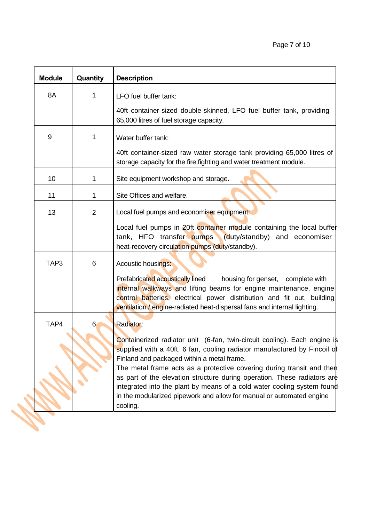| <b>Module</b> | Quantity       | <b>Description</b>                                                                                                                                                                                                                                                                                               |
|---------------|----------------|------------------------------------------------------------------------------------------------------------------------------------------------------------------------------------------------------------------------------------------------------------------------------------------------------------------|
| 8A            | 1              | LFO fuel buffer tank:                                                                                                                                                                                                                                                                                            |
|               |                | 40ft container-sized double-skinned, LFO fuel buffer tank, providing<br>65,000 litres of fuel storage capacity.                                                                                                                                                                                                  |
| 9             | 1              | Water buffer tank:                                                                                                                                                                                                                                                                                               |
|               |                | 40ft container-sized raw water storage tank providing 65,000 litres of<br>storage capacity for the fire fighting and water treatment module.                                                                                                                                                                     |
| 10            | 1              | Site equipment workshop and storage.                                                                                                                                                                                                                                                                             |
| 11            | 1              | Site Offices and welfare.                                                                                                                                                                                                                                                                                        |
| 13            | $\overline{2}$ | Local fuel pumps and economiser equipment:                                                                                                                                                                                                                                                                       |
|               |                | Local fuel pumps in 20ft container module containing the local buffet<br>(duty/standby) and economiser<br>tank, HFO transfer pumps<br>heat-recovery circulation pumps (duty/standby).                                                                                                                            |
| TAP3          | 6              | Acoustic housings:                                                                                                                                                                                                                                                                                               |
|               |                | Prefabricated acoustically lined<br>housing for genset, complete with<br>internal walkways and lifting beams for engine maintenance, engine<br>control batteries, electrical power distribution and fit out, building<br>ventilation / engine-radiated heat-dispersal fans and internal lighting.                |
| TAP4          | 6              | <b>Radiator:</b>                                                                                                                                                                                                                                                                                                 |
|               |                | Containerized radiator unit (6-fan, twin-circuit cooling). Each engine is<br>supplied with a 40ft, 6 fan, cooling radiator manufactured by Fincoil of<br>Finland and packaged within a metal frame.                                                                                                              |
|               |                | The metal frame acts as a protective covering during transit and then<br>as part of the elevation structure during operation. These radiators are<br>integrated into the plant by means of a cold water cooling system found<br>in the modularized pipework and allow for manual or automated engine<br>cooling. |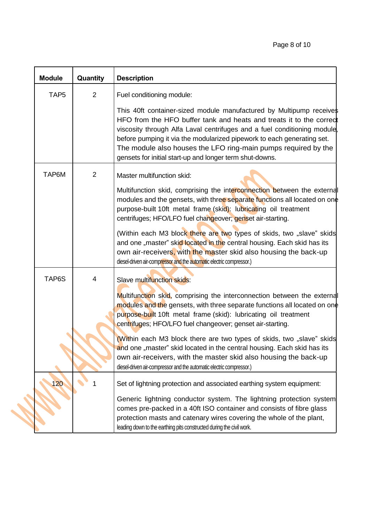| <b>Module</b>    | Quantity       | <b>Description</b>                                                                                                                                                                                                                                                                                                                                                                                                             |
|------------------|----------------|--------------------------------------------------------------------------------------------------------------------------------------------------------------------------------------------------------------------------------------------------------------------------------------------------------------------------------------------------------------------------------------------------------------------------------|
| TAP <sub>5</sub> | $\overline{2}$ | Fuel conditioning module:                                                                                                                                                                                                                                                                                                                                                                                                      |
|                  |                | This 40ft container-sized module manufactured by Multipump receives<br>HFO from the HFO buffer tank and heats and treats it to the correct<br>viscosity through Alfa Laval centrifuges and a fuel conditioning module,<br>before pumping it via the modularized pipework to each generating set.<br>The module also houses the LFO ring-main pumps required by the<br>gensets for initial start-up and longer term shut-downs. |
| TAP6M            | $\overline{2}$ | Master multifunction skid:<br>Multifunction skid, comprising the interconnection between the external<br>modules and the gensets, with three separate functions all located on one<br>purpose-built 10ft metal frame (skid): lubricating oil treatment<br>centrifuges; HFO/LFO fuel changeover; genset air-starting.                                                                                                           |
|                  |                | (Within each M3 block there are two types of skids, two "slave" skids<br>and one "master" skid located in the central housing. Each skid has its<br>own air-receivers, with the master skid also housing the back-up<br>diesel-driven air-compressor and the automatic electric compressor.)                                                                                                                                   |
| TAP6S            | 4              | Slave multifunction skids:<br>Multifunction skid, comprising the interconnection between the external<br>modules and the gensets, with three separate functions all located on one<br>purpose-built 10ft metal frame (skid): lubricating oil treatment<br>centrifuges; HFO/LFO fuel changeover; genset air-starting.                                                                                                           |
|                  |                | (Within each M3 block there are two types of skids, two "slave" skids<br>and one "master" skid located in the central housing. Each skid has its<br>own air-receivers, with the master skid also housing the back-up<br>diesel-driven air-compressor and the automatic electric compressor.)                                                                                                                                   |
| 120              | 1              | Set of lightning protection and associated earthing system equipment:                                                                                                                                                                                                                                                                                                                                                          |
|                  |                | Generic lightning conductor system. The lightning protection system<br>comes pre-packed in a 40ft ISO container and consists of fibre glass<br>protection masts and catenary wires covering the whole of the plant,<br>leading down to the earthing pits constructed during the civil work.                                                                                                                                    |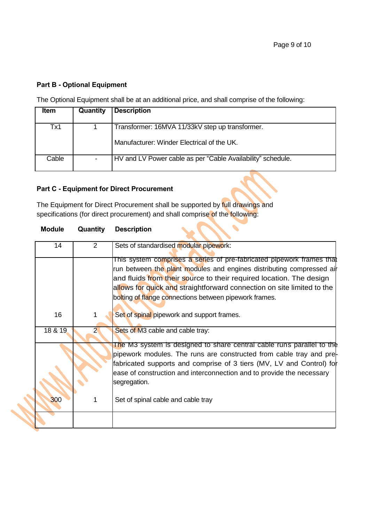### **Part B - Optional Equipment**

The Optional Equipment shall be at an additional price, and shall comprise of the following:

| <b>Item</b> | Quantity | <b>Description</b>                                          |
|-------------|----------|-------------------------------------------------------------|
|             |          |                                                             |
| Tx1         |          | Transformer: 16MVA 11/33kV step up transformer.             |
|             |          | Manufacturer: Winder Electrical of the UK.                  |
| Cable       |          | HV and LV Power cable as per "Cable Availability" schedule. |
|             |          |                                                             |

 $\overline{\phantom{0}}$ 

 $\mathbf{v}$ 

 $\overline{\phantom{a}}$ 

 $\sim$  . T

# **Part C - Equipment for Direct Procurement**

The Equipment for Direct Procurement shall be supported by full drawings and specifications (for direct procurement) and shall comprise of the following:

| <b>Module</b> | Quantity       | <b>Description</b>                                                                                                                                                                                                                                                                                                                                        |
|---------------|----------------|-----------------------------------------------------------------------------------------------------------------------------------------------------------------------------------------------------------------------------------------------------------------------------------------------------------------------------------------------------------|
| 14            | 2              | Sets of standardised modular pipework:                                                                                                                                                                                                                                                                                                                    |
|               |                | This system comprises a series of pre-fabricated pipework frames that<br>run between the plant modules and engines distributing compressed air<br>and fluids from their source to their required location. The design<br>allows for quick and straightforward connection on site limited to the<br>bolting of flange connections between pipework frames. |
| 16            |                | Set of spinal pipework and support frames.                                                                                                                                                                                                                                                                                                                |
| 18 & 19       | $\overline{2}$ | Sets of M3 cable and cable tray:                                                                                                                                                                                                                                                                                                                          |
|               |                | The M3 system is designed to share central cable runs parallel to the<br>pipework modules. The runs are constructed from cable tray and pre-<br>fabricated supports and comprise of 3 tiers (MV, LV and Control) for<br>ease of construction and interconnection and to provide the necessary<br>segregation.                                             |
| 300           |                | Set of spinal cable and cable tray                                                                                                                                                                                                                                                                                                                        |
|               |                |                                                                                                                                                                                                                                                                                                                                                           |